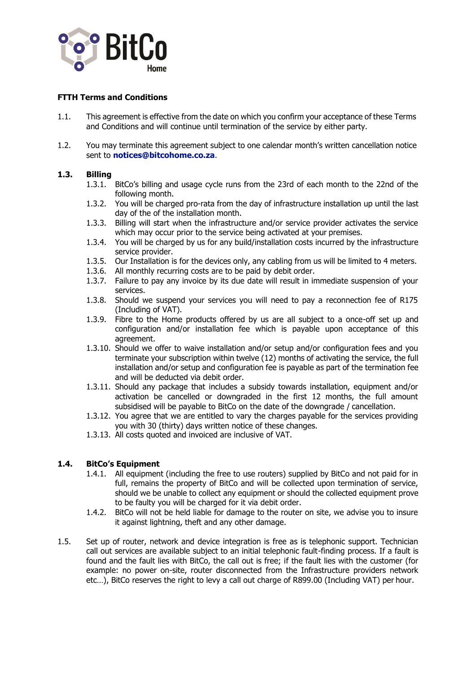

## **FTTH Terms and Conditions**

- 1.1. This agreement is effective from the date on which you confirm your acceptance of these Terms and Conditions and will continue until termination of the service by either party.
- 1.2. You may terminate this agreement subject to one calendar month's written cancellation notice sent to **notices@bitcohome.co.za**.

### **1.3. Billing**

- 1.3.1. BitCo's billing and usage cycle runs from the 23rd of each month to the 22nd of the following month.
- 1.3.2. You will be charged pro-rata from the day of infrastructure installation up until the last day of the of the installation month.
- 1.3.3. Billing will start when the infrastructure and/or service provider activates the service which may occur prior to the service being activated at your premises.
- 1.3.4. You will be charged by us for any build/installation costs incurred by the infrastructure service provider.
- 1.3.5. Our Installation is for the devices only, any cabling from us will be limited to 4 meters.
- 1.3.6. All monthly recurring costs are to be paid by debit order.
- 1.3.7. Failure to pay any invoice by its due date will result in immediate suspension of your services.
- 1.3.8. Should we suspend your services you will need to pay a reconnection fee of R175 (Including of VAT).
- 1.3.9. Fibre to the Home products offered by us are all subject to a once-off set up and configuration and/or installation fee which is payable upon acceptance of this agreement.
- 1.3.10. Should we offer to waive installation and/or setup and/or configuration fees and you terminate your subscription within twelve (12) months of activating the service, the full installation and/or setup and configuration fee is payable as part of the termination fee and will be deducted via debit order.
- 1.3.11. Should any package that includes a subsidy towards installation, equipment and/or activation be cancelled or downgraded in the first 12 months, the full amount subsidised will be payable to BitCo on the date of the downgrade / cancellation.
- 1.3.12. You agree that we are entitled to vary the charges payable for the services providing you with 30 (thirty) days written notice of these changes.
- 1.3.13. All costs quoted and invoiced are inclusive of VAT.

### **1.4. BitCo's Equipment**

- 1.4.1. All equipment (including the free to use routers) supplied by BitCo and not paid for in full, remains the property of BitCo and will be collected upon termination of service, should we be unable to collect any equipment or should the collected equipment prove to be faulty you will be charged for it via debit order.
- 1.4.2. BitCo will not be held liable for damage to the router on site, we advise you to insure it against lightning, theft and any other damage.
- 1.5. Set up of router, network and device integration is free as is telephonic support. Technician call out services are available subject to an initial telephonic fault-finding process. If a fault is found and the fault lies with BitCo, the call out is free; if the fault lies with the customer (for example: no power on-site, router disconnected from the Infrastructure providers network etc…), BitCo reserves the right to levy a call out charge of R899.00 (Including VAT) per hour.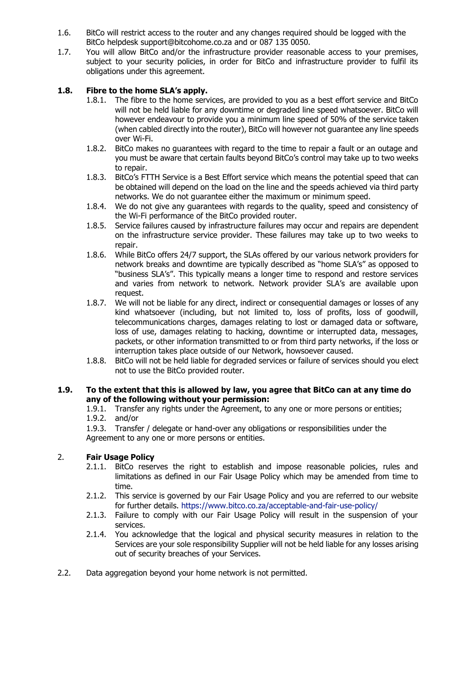- 1.6. BitCo will restrict access to the router and any changes required should be logged with the BitCo helpdesk [support@bitcohome.co.za a](mailto:support@bitcohome.co.za)nd or 087 135 0050.
- 1.7. You will allow BitCo and/or the infrastructure provider reasonable access to your premises, subject to your security policies, in order for BitCo and infrastructure provider to fulfil its obligations under this agreement.

# **1.8. Fibre to the home SLA's apply.**

- 1.8.1. The fibre to the home services, are provided to you as a best effort service and BitCo will not be held liable for any downtime or degraded line speed whatsoever. BitCo will however endeavour to provide you a minimum line speed of 50% of the service taken (when cabled directly into the router), BitCo will however not guarantee any line speeds over Wi-Fi.
- 1.8.2. BitCo makes no guarantees with regard to the time to repair a fault or an outage and you must be aware that certain faults beyond BitCo's control may take up to two weeks to repair.
- 1.8.3. BitCo's FTTH Service is a Best Effort service which means the potential speed that can be obtained will depend on the load on the line and the speeds achieved via third party networks. We do not guarantee either the maximum or minimum speed.
- 1.8.4. We do not give any guarantees with regards to the quality, speed and consistency of the Wi-Fi performance of the BitCo provided router.
- 1.8.5. Service failures caused by infrastructure failures may occur and repairs are dependent on the infrastructure service provider. These failures may take up to two weeks to repair.
- 1.8.6. While BitCo offers 24/7 support, the SLAs offered by our various network providers for network breaks and downtime are typically described as "home SLA's" as opposed to "business SLA's". This typically means a longer time to respond and restore services and varies from network to network. Network provider SLA's are available upon request.
- 1.8.7. We will not be liable for any direct, indirect or consequential damages or losses of any kind whatsoever (including, but not limited to, loss of profits, loss of goodwill, telecommunications charges, damages relating to lost or damaged data or software, loss of use, damages relating to hacking, downtime or interrupted data, messages, packets, or other information transmitted to or from third party networks, if the loss or interruption takes place outside of our Network, howsoever caused.
- 1.8.8. BitCo will not be held liable for degraded services or failure of services should you elect not to use the BitCo provided router.

### **1.9. To the extent that this is allowed by law, you agree that BitCo can at any time do any of the following without your permission:**

1.9.1. Transfer any rights under the Agreement, to any one or more persons or entities;

1.9.2. and/or

1.9.3. Transfer / delegate or hand-over any obligations or responsibilities under the Agreement to any one or more persons or entities.

## 2. **Fair Usage Policy**

- 2.1.1. BitCo reserves the right to establish and impose reasonable policies, rules and limitations as defined in our Fair Usage Policy which may be amended from time to time.
- 2.1.2. This service is governed by our Fair Usage Policy and you are referred to our website for further details. <https://www.bitco.co.za/acceptable-and-fair-use-policy/>
- 2.1.3. Failure to comply with our Fair Usage Policy will result in the suspension of your services.
- 2.1.4. You acknowledge that the logical and physical security measures in relation to the Services are your sole responsibility Supplier will not be held liable for any losses arising out of security breaches of your Services.
- 2.2. Data aggregation beyond your home network is not permitted.